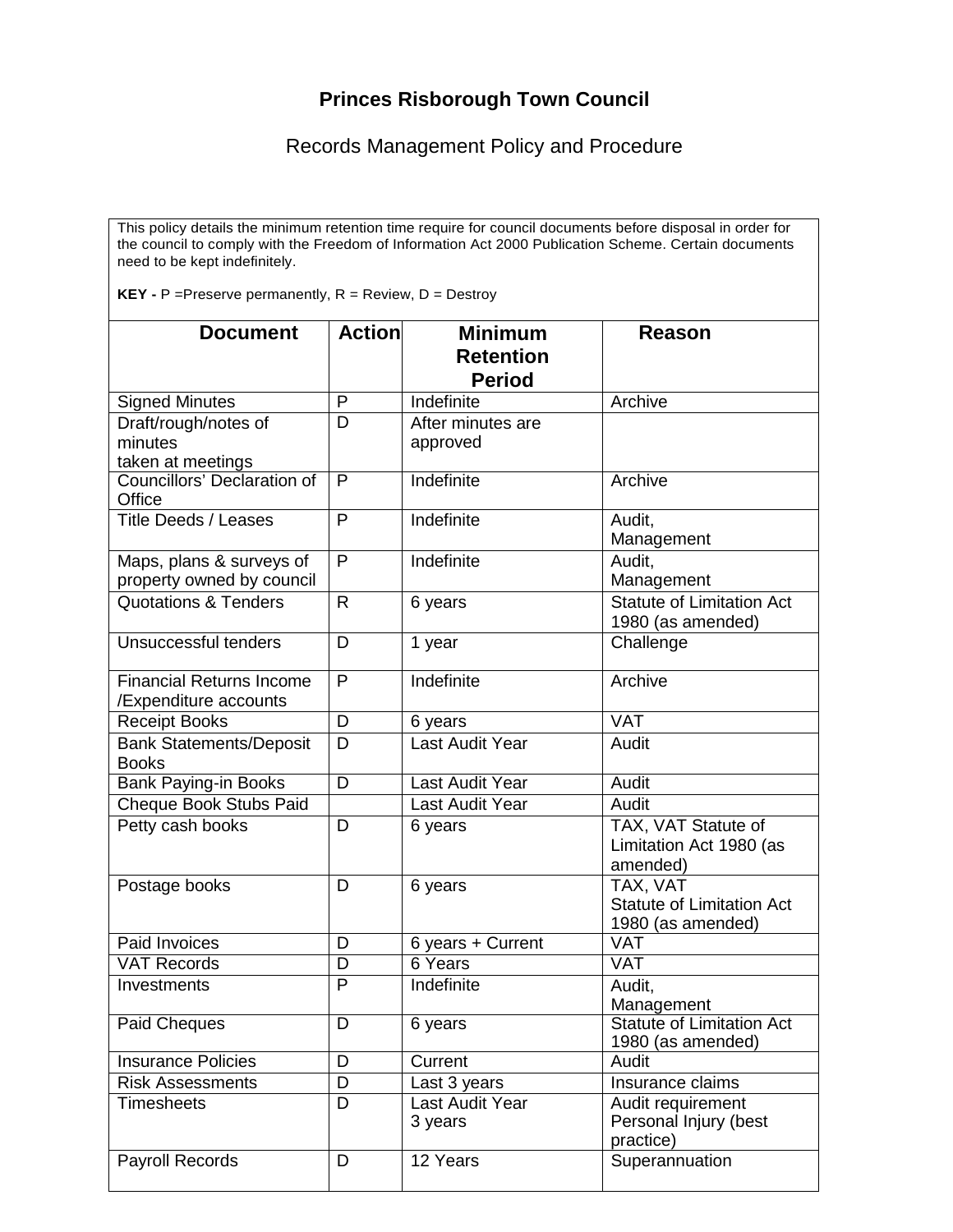## **Princes Risborough Town Council**

## Records Management Policy and Procedure

This policy details the minimum retention time require for council documents before disposal in order for the council to comply with the Freedom of Information Act 2000 Publication Scheme. Certain documents need to be kept indefinitely.

**KEY -** P =Preserve permanently, R = Review, D = Destroy

| <b>Document</b>                                          | <b>Action</b>           | <b>Minimum</b><br><b>Retention</b><br><b>Period</b> | <b>Reason</b>                                                     |
|----------------------------------------------------------|-------------------------|-----------------------------------------------------|-------------------------------------------------------------------|
| <b>Signed Minutes</b>                                    | P                       | Indefinite                                          | Archive                                                           |
| Draft/rough/notes of<br>minutes<br>taken at meetings     | $\overline{\mathsf{D}}$ | After minutes are<br>approved                       |                                                                   |
| <b>Councillors' Declaration of</b><br>Office             | $\overline{P}$          | Indefinite                                          | Archive                                                           |
| <b>Title Deeds / Leases</b>                              | P                       | Indefinite                                          | Audit,<br>Management                                              |
| Maps, plans & surveys of<br>property owned by council    | P                       | Indefinite                                          | Audit,<br>Management                                              |
| <b>Quotations &amp; Tenders</b>                          | R                       | 6 years                                             | <b>Statute of Limitation Act</b><br>1980 (as amended)             |
| Unsuccessful tenders                                     | D                       | 1 year                                              | Challenge                                                         |
| <b>Financial Returns Income</b><br>/Expenditure accounts | P                       | Indefinite                                          | Archive                                                           |
| <b>Receipt Books</b>                                     | D                       | 6 years                                             | <b>VAT</b>                                                        |
| <b>Bank Statements/Deposit</b><br><b>Books</b>           | D                       | Last Audit Year                                     | Audit                                                             |
| <b>Bank Paying-in Books</b>                              | D                       | <b>Last Audit Year</b>                              | Audit                                                             |
| <b>Cheque Book Stubs Paid</b>                            |                         | Last Audit Year                                     | Audit                                                             |
| Petty cash books                                         | D                       | 6 years                                             | TAX, VAT Statute of<br>Limitation Act 1980 (as<br>amended)        |
| Postage books                                            | D                       | 6 years                                             | TAX, VAT<br><b>Statute of Limitation Act</b><br>1980 (as amended) |
| Paid Invoices                                            | D                       | 6 years + Current                                   | <b>VAT</b>                                                        |
| <b>VAT Records</b>                                       | $\overline{\mathsf{D}}$ | 6 Years                                             | <b>VAT</b>                                                        |
| Investments                                              | $\overline{P}$          | Indefinite                                          | Audit,<br>Management                                              |
| Paid Cheques                                             | D                       | 6 years                                             | <b>Statute of Limitation Act</b><br>1980 (as amended)             |
| <b>Insurance Policies</b>                                | D                       | Current                                             | Audit                                                             |
| <b>Risk Assessments</b>                                  | D                       | Last 3 years                                        | Insurance claims                                                  |
| <b>Timesheets</b>                                        | D                       | Last Audit Year<br>3 years                          | Audit requirement<br>Personal Injury (best<br>practice)           |
| Payroll Records                                          | D                       | 12 Years                                            | Superannuation                                                    |